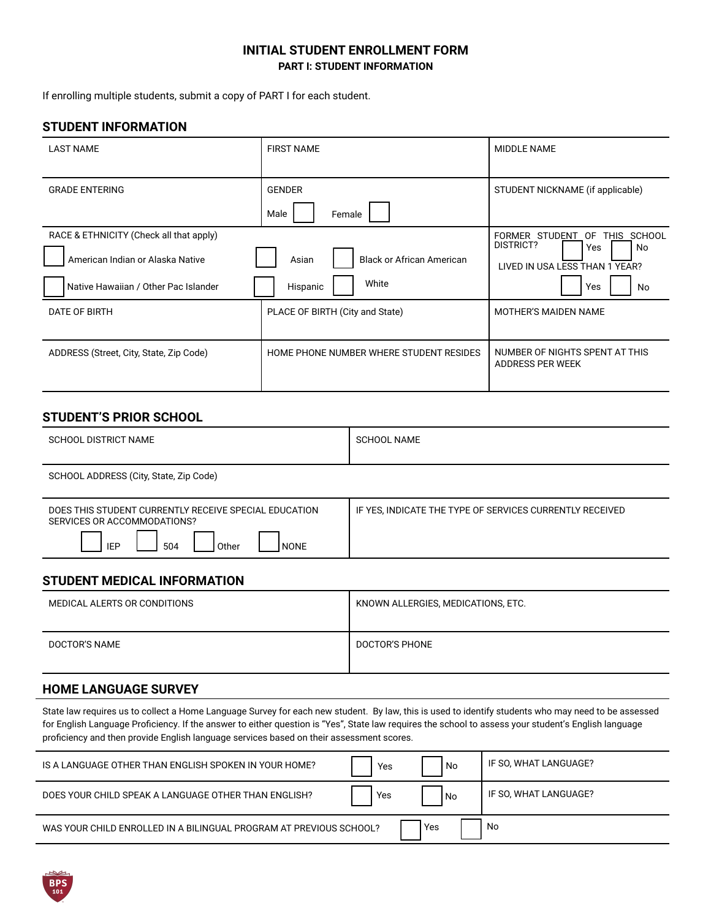#### **INITIAL STUDENT ENROLLMENT FORM PART I: STUDENT INFORMATION**

If enrolling multiple students, submit a copy of PART I for each student.

#### **STUDENT INFORMATION**

| <b>LAST NAME</b>                                                                                                    | <b>FIRST NAME</b>                                              | <b>MIDDLE NAME</b>                                                                                           |
|---------------------------------------------------------------------------------------------------------------------|----------------------------------------------------------------|--------------------------------------------------------------------------------------------------------------|
| <b>GRADE ENTERING</b>                                                                                               | <b>GENDER</b><br>Female<br>Male                                | STUDENT NICKNAME (if applicable)                                                                             |
| RACE & ETHNICITY (Check all that apply)<br>American Indian or Alaska Native<br>Native Hawaiian / Other Pac Islander | Asian<br><b>Black or African American</b><br>White<br>Hispanic | FORMER STUDENT<br>0F<br>THIS SCHOOL<br>DISTRICT?<br>Yes<br>No<br>LIVED IN USA LESS THAN 1 YEAR?<br>Yes<br>No |
| DATE OF BIRTH                                                                                                       | PLACE OF BIRTH (City and State)                                | <b>MOTHER'S MAIDEN NAME</b>                                                                                  |
| ADDRESS (Street, City, State, Zip Code)                                                                             | HOME PHONE NUMBER WHERE STUDENT RESIDES                        | NUMBER OF NIGHTS SPENT AT THIS<br>ADDRESS PER WEEK                                                           |

## **STUDENT'S PRIOR SCHOOL**

| SCHOOL DISTRICT NAME                   | SCHOOL NAME |
|----------------------------------------|-------------|
| SCHOOL ADDRESS (City, State, Zip Code) |             |

| DOES THIS STUDENT CURRENTLY RECEIVE SPECIAL EDUCATION<br>SERVICES OR ACCOMMODATIONS? | IF YES, INDICATE THE TYPE OF SERVICES CURRENTLY RECEIVED |
|--------------------------------------------------------------------------------------|----------------------------------------------------------|
| IEP<br>504<br><b>NONE</b><br>Other                                                   |                                                          |

## **STUDENT MEDICAL INFORMATION**

| MEDICAL ALERTS OR CONDITIONS | KNOWN ALLERGIES, MEDICATIONS, ETC. |
|------------------------------|------------------------------------|
| DOCTOR'S NAME                | DOCTOR'S PHONE                     |

# **HOME LANGUAGE SURVEY**

State law requires us to collect a Home Language Survey for each new student. By law, this is used to identify students who may need to be assessed for English Language Proficiency. If the answer to either question is "Yes", State law requires the school to assess your student's English language proficiency and then provide English language services based on their assessment scores.

| IS A LANGUAGE OTHER THAN ENGLISH SPOKEN IN YOUR HOME?              | Yes | No.        | IF SO, WHAT LANGUAGE? |
|--------------------------------------------------------------------|-----|------------|-----------------------|
| DOES YOUR CHILD SPEAK A LANGUAGE OTHER THAN ENGLISH?               | Yes | l No       | IF SO. WHAT LANGUAGE? |
| WAS YOUR CHILD ENROLLED IN A BILINGUAL PROGRAM AT PREVIOUS SCHOOL? |     | <b>Yes</b> | No                    |